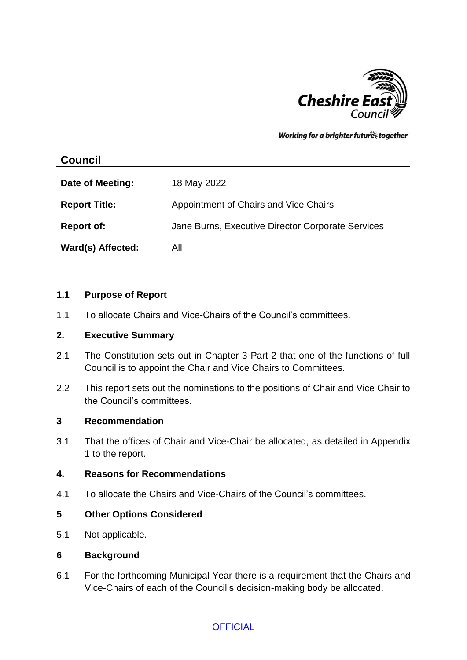

Working for a brighter futures together

# **Council**

| Date of Meeting:     | 18 May 2022                                       |
|----------------------|---------------------------------------------------|
| <b>Report Title:</b> | Appointment of Chairs and Vice Chairs             |
| <b>Report of:</b>    | Jane Burns, Executive Director Corporate Services |
| Ward(s) Affected:    | All                                               |

### **1.1 Purpose of Report**

1.1 To allocate Chairs and Vice-Chairs of the Council's committees.

#### **2. Executive Summary**

- 2.1 The Constitution sets out in Chapter 3 Part 2 that one of the functions of full Council is to appoint the Chair and Vice Chairs to Committees.
- 2.2 This report sets out the nominations to the positions of Chair and Vice Chair to the Council's committees.

#### **3 Recommendation**

3.1 That the offices of Chair and Vice-Chair be allocated, as detailed in Appendix 1 to the report.

#### **4. Reasons for Recommendations**

4.1 To allocate the Chairs and Vice-Chairs of the Council's committees.

# **5 Other Options Considered**

5.1 Not applicable.

#### **6 Background**

6.1 For the forthcoming Municipal Year there is a requirement that the Chairs and Vice-Chairs of each of the Council's decision-making body be allocated.

# **OFFICIAL**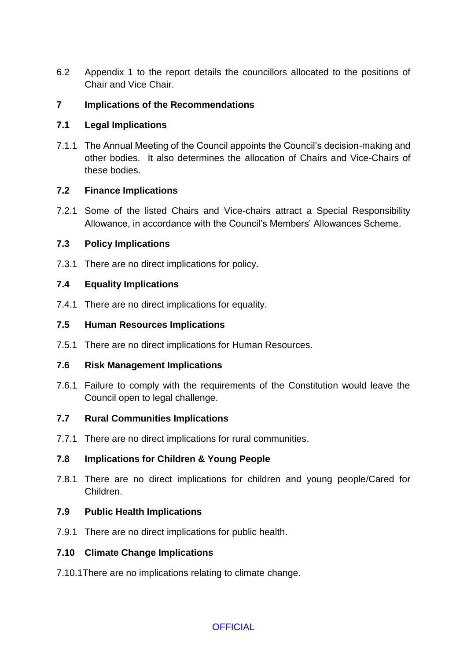6.2 Appendix 1 to the report details the councillors allocated to the positions of Chair and Vice Chair.

# **7 Implications of the Recommendations**

# **7.1 Legal Implications**

7.1.1 The Annual Meeting of the Council appoints the Council's decision-making and other bodies. It also determines the allocation of Chairs and Vice-Chairs of these bodies.

# **7.2 Finance Implications**

7.2.1 Some of the listed Chairs and Vice-chairs attract a Special Responsibility Allowance, in accordance with the Council's Members' Allowances Scheme.

### **7.3 Policy Implications**

7.3.1 There are no direct implications for policy.

### **7.4 Equality Implications**

7.4.1 There are no direct implications for equality.

### **7.5 Human Resources Implications**

7.5.1 There are no direct implications for Human Resources.

#### **7.6 Risk Management Implications**

7.6.1 Failure to comply with the requirements of the Constitution would leave the Council open to legal challenge.

# **7.7 Rural Communities Implications**

7.7.1 There are no direct implications for rural communities.

# **7.8 Implications for Children & Young People**

7.8.1 There are no direct implications for children and young people/Cared for Children.

#### **7.9 Public Health Implications**

7.9.1 There are no direct implications for public health.

#### **7.10 Climate Change Implications**

7.10.1There are no implications relating to climate change.